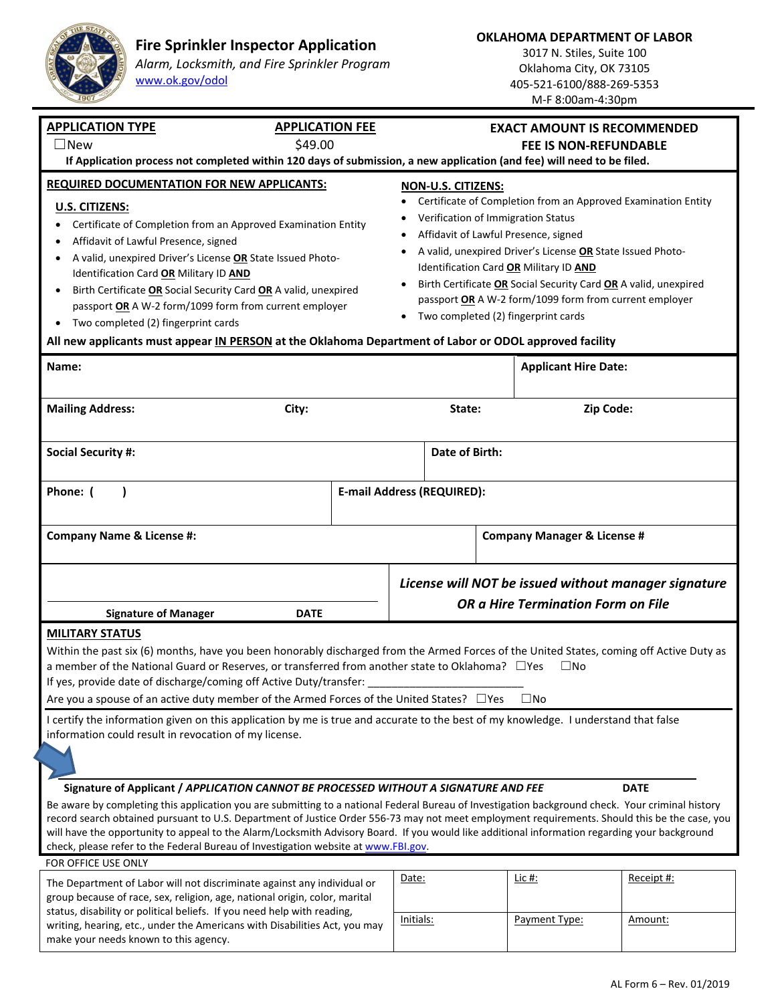

make your needs known to this agency.

## **Fire Sprinkler Inspector Application**

*Alarm, Locksmith, and Fire Sprinkler Program* www.ok.gov/odol

**OKLAHOMA DEPARTMENT OF LABOR** 

3017 N. Stiles, Suite 100 Oklahoma City, OK 73105 405‐521‐6100/888‐269‐5353 M‐F 8:00am‐4:30pm

| <b>APPLICATION TYPE</b><br>$\square$ New                                                                                                                                                                                                                                                                                                                                                                                                                                                                                                                                                                                                        | <b>APPLICATION FEE</b>            |                                                                                                                                                                                                                                                                                                                                                                                                                                                           | <b>EXACT AMOUNT IS RECOMMENDED</b>                                                                |                                        |                       |
|-------------------------------------------------------------------------------------------------------------------------------------------------------------------------------------------------------------------------------------------------------------------------------------------------------------------------------------------------------------------------------------------------------------------------------------------------------------------------------------------------------------------------------------------------------------------------------------------------------------------------------------------------|-----------------------------------|-----------------------------------------------------------------------------------------------------------------------------------------------------------------------------------------------------------------------------------------------------------------------------------------------------------------------------------------------------------------------------------------------------------------------------------------------------------|---------------------------------------------------------------------------------------------------|----------------------------------------|-----------------------|
| \$49.00<br><b>FEE IS NON-REFUNDABLE</b><br>If Application process not completed within 120 days of submission, a new application (and fee) will need to be filed.                                                                                                                                                                                                                                                                                                                                                                                                                                                                               |                                   |                                                                                                                                                                                                                                                                                                                                                                                                                                                           |                                                                                                   |                                        |                       |
| <b>REQUIRED DOCUMENTATION FOR NEW APPLICANTS:</b><br>U.S. CITIZENS:<br>Certificate of Completion from an Approved Examination Entity<br>Affidavit of Lawful Presence, signed<br>A valid, unexpired Driver's License OR State Issued Photo-<br>Identification Card OR Military ID AND<br>Birth Certificate OR Social Security Card OR A valid, unexpired<br>$\bullet$<br>passport OR A W-2 form/1099 form from current employer<br>Two completed (2) fingerprint cards<br>$\bullet$<br>All new applicants must appear IN PERSON at the Oklahoma Department of Labor or ODOL approved facility                                                    |                                   | <b>NON-U.S. CITIZENS:</b><br>Certificate of Completion from an Approved Examination Entity<br>Verification of Immigration Status<br>Affidavit of Lawful Presence, signed<br>A valid, unexpired Driver's License OR State Issued Photo-<br>٠<br>Identification Card OR Military ID AND<br>Birth Certificate OR Social Security Card OR A valid, unexpired<br>passport OR A W-2 form/1099 form from current employer<br>Two completed (2) fingerprint cards |                                                                                                   |                                        |                       |
| Name:                                                                                                                                                                                                                                                                                                                                                                                                                                                                                                                                                                                                                                           |                                   |                                                                                                                                                                                                                                                                                                                                                                                                                                                           |                                                                                                   | <b>Applicant Hire Date:</b>            |                       |
| <b>Mailing Address:</b>                                                                                                                                                                                                                                                                                                                                                                                                                                                                                                                                                                                                                         | City:                             |                                                                                                                                                                                                                                                                                                                                                                                                                                                           | State:                                                                                            | Zip Code:                              |                       |
| <b>Social Security #:</b>                                                                                                                                                                                                                                                                                                                                                                                                                                                                                                                                                                                                                       |                                   |                                                                                                                                                                                                                                                                                                                                                                                                                                                           | Date of Birth:                                                                                    |                                        |                       |
| Phone: (                                                                                                                                                                                                                                                                                                                                                                                                                                                                                                                                                                                                                                        | <b>E-mail Address (REQUIRED):</b> |                                                                                                                                                                                                                                                                                                                                                                                                                                                           |                                                                                                   |                                        |                       |
| <b>Company Name &amp; License #:</b>                                                                                                                                                                                                                                                                                                                                                                                                                                                                                                                                                                                                            |                                   |                                                                                                                                                                                                                                                                                                                                                                                                                                                           |                                                                                                   | <b>Company Manager &amp; License #</b> |                       |
|                                                                                                                                                                                                                                                                                                                                                                                                                                                                                                                                                                                                                                                 |                                   |                                                                                                                                                                                                                                                                                                                                                                                                                                                           | License will NOT be issued without manager signature<br><b>OR a Hire Termination Form on File</b> |                                        |                       |
| <b>Signature of Manager</b><br><b>DATE</b>                                                                                                                                                                                                                                                                                                                                                                                                                                                                                                                                                                                                      |                                   |                                                                                                                                                                                                                                                                                                                                                                                                                                                           |                                                                                                   |                                        |                       |
| <b>MILITARY STATUS</b><br>Within the past six (6) months, have you been honorably discharged from the Armed Forces of the United States, coming off Active Duty as<br>a member of the National Guard or Reserves, or transferred from another state to Oklahoma? □ Yes<br>$\Box$ No<br>If yes, provide date of discharge/coming off Active Duty/transfer:<br>Are you a spouse of an active duty member of the Armed Forces of the United States? □ Yes<br>$\square$ No                                                                                                                                                                          |                                   |                                                                                                                                                                                                                                                                                                                                                                                                                                                           |                                                                                                   |                                        |                       |
| I certify the information given on this application by me is true and accurate to the best of my knowledge. I understand that false<br>information could result in revocation of my license.                                                                                                                                                                                                                                                                                                                                                                                                                                                    |                                   |                                                                                                                                                                                                                                                                                                                                                                                                                                                           |                                                                                                   |                                        |                       |
| Signature of Applicant / APPLICATION CANNOT BE PROCESSED WITHOUT A SIGNATURE AND FEE<br><b>DATE</b><br>Be aware by completing this application you are submitting to a national Federal Bureau of Investigation background check. Your criminal history<br>record search obtained pursuant to U.S. Department of Justice Order 556-73 may not meet employment requirements. Should this be the case, you<br>will have the opportunity to appeal to the Alarm/Locksmith Advisory Board. If you would like additional information regarding your background<br>check, please refer to the Federal Bureau of Investigation website at www.FBI.gov. |                                   |                                                                                                                                                                                                                                                                                                                                                                                                                                                           |                                                                                                   |                                        |                       |
| FOR OFFICE USE ONLY                                                                                                                                                                                                                                                                                                                                                                                                                                                                                                                                                                                                                             |                                   |                                                                                                                                                                                                                                                                                                                                                                                                                                                           |                                                                                                   |                                        |                       |
| The Department of Labor will not discriminate against any individual or<br>group because of race, sex, religion, age, national origin, color, marital<br>status, disability or political beliefs. If you need help with reading,<br>writing, hearing, etc., under the Americans with Disabilities Act, you may                                                                                                                                                                                                                                                                                                                                  |                                   | Date:<br>Initials:                                                                                                                                                                                                                                                                                                                                                                                                                                        |                                                                                                   | Lic #:<br>Payment Type:                | Receipt #:<br>Amount: |